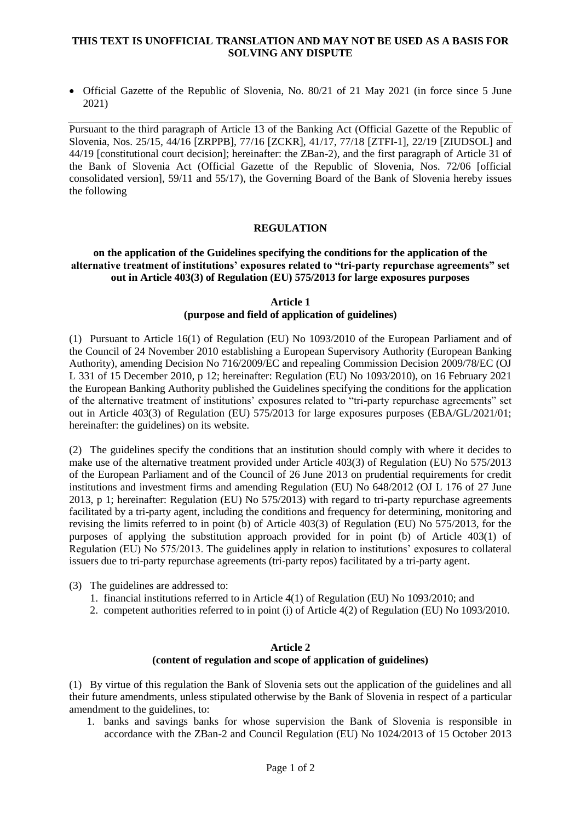## **THIS TEXT IS UNOFFICIAL TRANSLATION AND MAY NOT BE USED AS A BASIS FOR SOLVING ANY DISPUTE**

 Official Gazette of the Republic of Slovenia, No. 80/21 of 21 May 2021 (in force since 5 June 2021)

Pursuant to the third paragraph of Article 13 of the Banking Act (Official Gazette of the Republic of Slovenia, Nos. 25/15, 44/16 [ZRPPB], 77/16 [ZCKR], 41/17, 77/18 [ZTFI-1], 22/19 [ZIUDSOL] and 44/19 [constitutional court decision]; hereinafter: the ZBan-2), and the first paragraph of Article 31 of the Bank of Slovenia Act (Official Gazette of the Republic of Slovenia, Nos. 72/06 [official consolidated version], 59/11 and 55/17), the Governing Board of the Bank of Slovenia hereby issues the following

## **REGULATION**

# **on the application of the Guidelines specifying the conditions for the application of the alternative treatment of institutions' exposures related to "tri-party repurchase agreements" set out in Article 403(3) of Regulation (EU) 575/2013 for large exposures purposes**

#### **Article 1 (purpose and field of application of guidelines)**

(1) Pursuant to Article 16(1) of Regulation (EU) No 1093/2010 of the European Parliament and of the Council of 24 November 2010 establishing a European Supervisory Authority (European Banking Authority), amending Decision No 716/2009/EC and repealing Commission Decision 2009/78/EC (OJ L 331 of 15 December 2010, p 12; hereinafter: Regulation (EU) No 1093/2010), on 16 February 2021 the European Banking Authority published the Guidelines specifying the conditions for the application of the alternative treatment of institutions' exposures related to "tri-party repurchase agreements" set out in Article 403(3) of Regulation (EU) 575/2013 for large exposures purposes (EBA/GL/2021/01; hereinafter: the guidelines) on its website.

(2) The guidelines specify the conditions that an institution should comply with where it decides to make use of the alternative treatment provided under Article 403(3) of Regulation (EU) No 575/2013 of the European Parliament and of the Council of 26 June 2013 on prudential requirements for credit institutions and investment firms and amending Regulation (EU) No 648/2012 (OJ L 176 of 27 June 2013, p 1; hereinafter: Regulation (EU) No 575/2013) with regard to tri-party repurchase agreements facilitated by a tri-party agent, including the conditions and frequency for determining, monitoring and revising the limits referred to in point (b) of Article 403(3) of Regulation (EU) No 575/2013, for the purposes of applying the substitution approach provided for in point (b) of Article 403(1) of Regulation (EU) No 575/2013. The guidelines apply in relation to institutions' exposures to collateral issuers due to tri-party repurchase agreements (tri-party repos) facilitated by a tri-party agent.

- (3) The guidelines are addressed to:
	- 1. financial institutions referred to in Article 4(1) of Regulation (EU) No 1093/2010; and
	- 2. competent authorities referred to in point (i) of Article 4(2) of Regulation (EU) No 1093/2010.

## **Article 2 (content of regulation and scope of application of guidelines)**

(1) By virtue of this regulation the Bank of Slovenia sets out the application of the guidelines and all their future amendments, unless stipulated otherwise by the Bank of Slovenia in respect of a particular amendment to the guidelines, to:

1. banks and savings banks for whose supervision the Bank of Slovenia is responsible in accordance with the ZBan-2 and Council Regulation (EU) No 1024/2013 of 15 October 2013